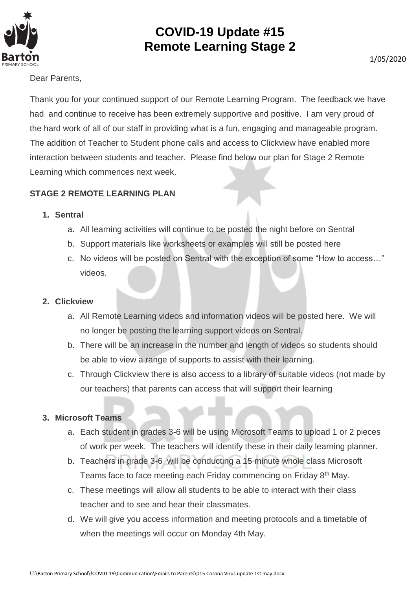

## **COVID-19 Update #15 Remote Learning Stage 2**

Dear Parents,

Thank you for your continued support of our Remote Learning Program. The feedback we have had and continue to receive has been extremely supportive and positive. I am very proud of the hard work of all of our staff in providing what is a fun, engaging and manageable program. The addition of Teacher to Student phone calls and access to Clickview have enabled more interaction between students and teacher. Please find below our plan for Stage 2 Remote Learning which commences next week.

### **STAGE 2 REMOTE LEARNING PLAN**

#### **1. Sentral**

- a. All learning activities will continue to be posted the night before on Sentral
- b. Support materials like worksheets or examples will still be posted here
- c. No videos will be posted on Sentral with the exception of some "How to access…" videos.

#### **2. Clickview**

- a. All Remote Learning videos and information videos will be posted here. We will no longer be posting the learning support videos on Sentral.
- b. There will be an increase in the number and length of videos so students should be able to view a range of supports to assist with their learning.
- c. Through Clickview there is also access to a library of suitable videos (not made by our teachers) that parents can access that will support their learning

#### **3. Microsoft Teams**

- a. Each student in grades 3-6 will be using Microsoft Teams to upload 1 or 2 pieces of work per week. The teachers will identify these in their daily learning planner.
- b. Teachers in grade 3-6 will be conducting a 15 minute whole class Microsoft Teams face to face meeting each Friday commencing on Friday 8<sup>th</sup> May.
- c. These meetings will allow all students to be able to interact with their class teacher and to see and hear their classmates.
- d. We will give you access information and meeting protocols and a timetable of when the meetings will occur on Monday 4th May.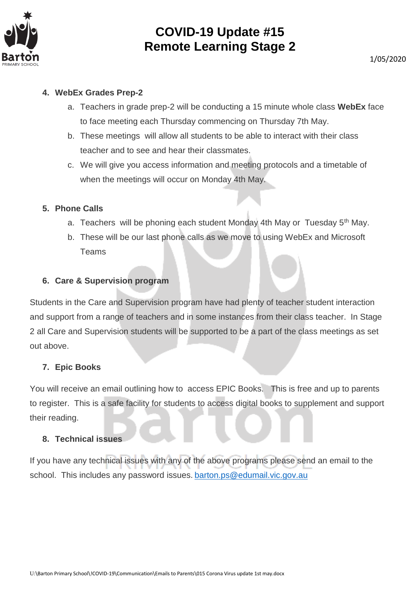

## **COVID-19 Update #15 Remote Learning Stage 2**

#### **4. WebEx Grades Prep-2**

- a. Teachers in grade prep-2 will be conducting a 15 minute whole class **WebEx** face to face meeting each Thursday commencing on Thursday 7th May.
- b. These meetings will allow all students to be able to interact with their class teacher and to see and hear their classmates.
- c. We will give you access information and meeting protocols and a timetable of when the meetings will occur on Monday 4th May.

#### **5. Phone Calls**

- a. Teachers will be phoning each student Monday 4th May or Tuesday 5<sup>th</sup> May.
- b. These will be our last phone calls as we move to using WebEx and Microsoft Teams

#### **6. Care & Supervision program**

Students in the Care and Supervision program have had plenty of teacher student interaction and support from a range of teachers and in some instances from their class teacher. In Stage 2 all Care and Supervision students will be supported to be a part of the class meetings as set out above.

#### **7. Epic Books**

You will receive an email outlining how to access EPIC Books. This is free and up to parents to register. This is a safe facility for students to access digital books to supplement and support their reading.

#### **8. Technical issues**

If you have any technical issues with any of the above programs please send an email to the school. This includes any password issues. [barton.ps@edumail.vic.gov.au](mailto:barton.ps@edumail.vic.gov.au)